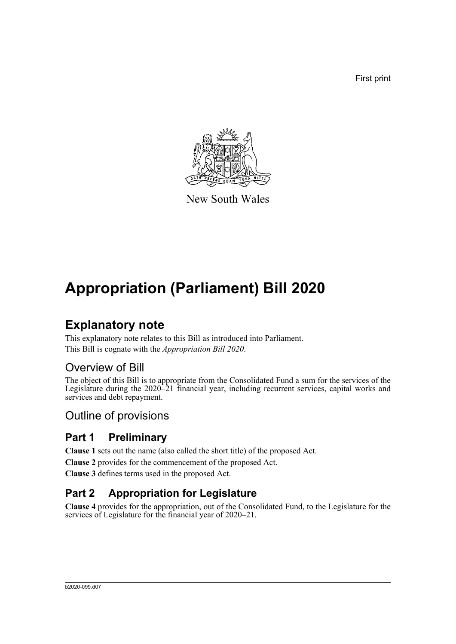First print



New South Wales

# **Appropriation (Parliament) Bill 2020**

## **Explanatory note**

This explanatory note relates to this Bill as introduced into Parliament. This Bill is cognate with the *Appropriation Bill 2020*.

## Overview of Bill

The object of this Bill is to appropriate from the Consolidated Fund a sum for the services of the Legislature during the 2020–21 financial year, including recurrent services, capital works and services and debt repayment.

## Outline of provisions

## **Part 1 Preliminary**

**Clause 1** sets out the name (also called the short title) of the proposed Act.

**Clause 2** provides for the commencement of the proposed Act.

**Clause 3** defines terms used in the proposed Act.

## **Part 2 Appropriation for Legislature**

**Clause 4** provides for the appropriation, out of the Consolidated Fund, to the Legislature for the services of Legislature for the financial year of 2020–21.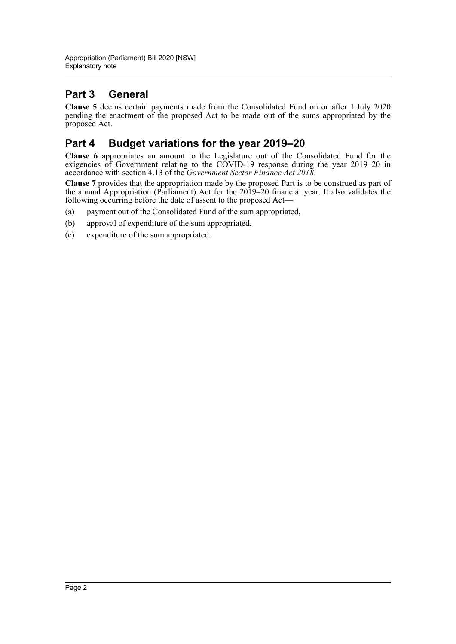## **Part 3 General**

**Clause 5** deems certain payments made from the Consolidated Fund on or after 1 July 2020 pending the enactment of the proposed Act to be made out of the sums appropriated by the proposed Act.

### **Part 4 Budget variations for the year 2019–20**

**Clause 6** appropriates an amount to the Legislature out of the Consolidated Fund for the exigencies of Government relating to the COVID-19 response during the year 2019–20 in accordance with section 4.13 of the *Government Sector Finance Act 2018*.

**Clause 7** provides that the appropriation made by the proposed Part is to be construed as part of the annual Appropriation (Parliament) Act for the 2019–20 financial year. It also validates the following occurring before the date of assent to the proposed Act—

- (a) payment out of the Consolidated Fund of the sum appropriated,
- (b) approval of expenditure of the sum appropriated,
- (c) expenditure of the sum appropriated.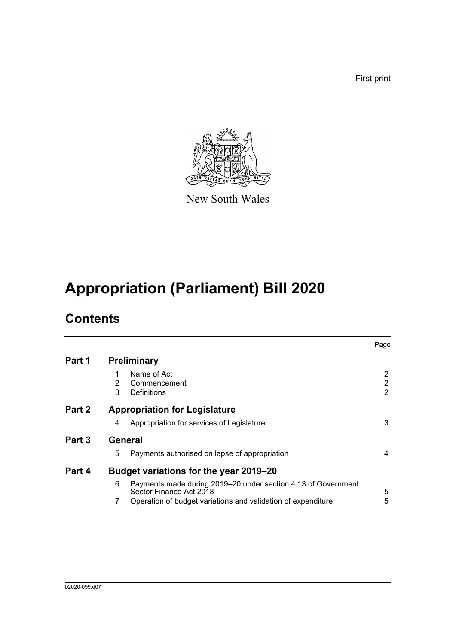First print



New South Wales

# **Appropriation (Parliament) Bill 2020**

## **Contents**

|                                                                    | Page                                             |
|--------------------------------------------------------------------|--------------------------------------------------|
| <b>Preliminary</b>                                                 |                                                  |
| Name of Act                                                        | 2                                                |
| Commencement                                                       | 2                                                |
|                                                                    | 2                                                |
| <b>Appropriation for Legislature</b>                               |                                                  |
| Appropriation for services of Legislature<br>4                     | 3                                                |
| General                                                            |                                                  |
| 5<br>Payments authorised on lapse of appropriation                 | 4                                                |
| Budget variations for the year 2019–20                             |                                                  |
| 6<br>Payments made during 2019–20 under section 4.13 of Government | 5                                                |
| 7<br>Operation of budget variations and validation of expenditure  | 5                                                |
|                                                                    | 2<br>3<br>Definitions<br>Sector Finance Act 2018 |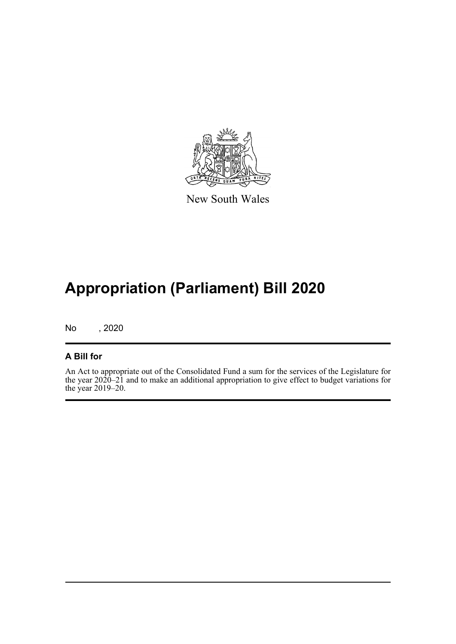

New South Wales

# **Appropriation (Parliament) Bill 2020**

No , 2020

#### **A Bill for**

An Act to appropriate out of the Consolidated Fund a sum for the services of the Legislature for the year 2020–21 and to make an additional appropriation to give effect to budget variations for the year 2019–20.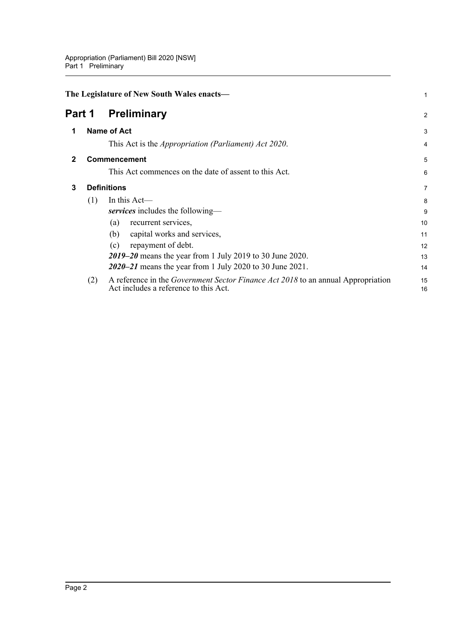<span id="page-4-3"></span><span id="page-4-2"></span><span id="page-4-1"></span><span id="page-4-0"></span>

|              |                    | The Legislature of New South Wales enacts-                                                                                       | 1              |
|--------------|--------------------|----------------------------------------------------------------------------------------------------------------------------------|----------------|
| Part 1       |                    | <b>Preliminary</b>                                                                                                               | $\overline{2}$ |
| 1            |                    | <b>Name of Act</b>                                                                                                               | 3              |
|              |                    | This Act is the <i>Appropriation (Parliament) Act 2020</i> .                                                                     | 4              |
| $\mathbf{2}$ |                    | Commencement                                                                                                                     | 5              |
|              |                    | This Act commences on the date of assent to this Act.                                                                            | 6              |
| 3            | <b>Definitions</b> |                                                                                                                                  |                |
|              | (1)                | In this Act-<br>services includes the following—                                                                                 | 8<br>9         |
|              |                    | recurrent services,<br>(a)                                                                                                       | 10             |
|              |                    | capital works and services,<br>(b)                                                                                               | 11             |
|              |                    | repayment of debt.<br>(c)                                                                                                        | 12             |
|              |                    | 2019–20 means the year from 1 July 2019 to 30 June 2020.                                                                         | 13             |
|              |                    | 2020–21 means the year from 1 July 2020 to 30 June 2021.                                                                         | 14             |
|              | (2)                | A reference in the <i>Government Sector Finance Act 2018</i> to an annual Appropriation<br>Act includes a reference to this Act. | 15<br>16       |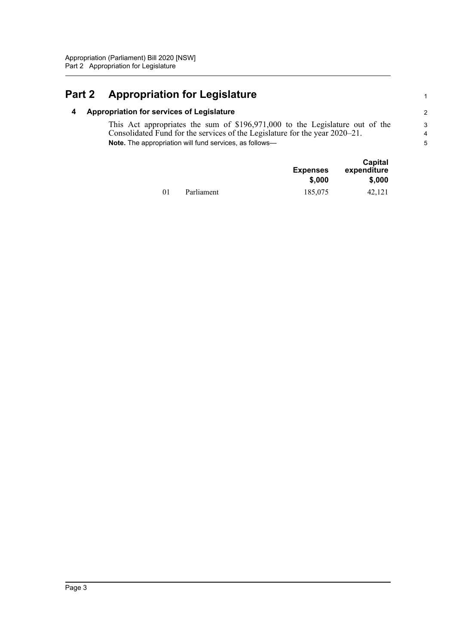## <span id="page-5-1"></span><span id="page-5-0"></span>**Part 2 Appropriation for Legislature**

#### **4 Appropriation for services of Legislature**

This Act appropriates the sum of \$196,971,000 to the Legislature out of the Consolidated Fund for the services of the Legislature for the year 2020–21. **Note.** The appropriation will fund services, as follows—

|    |            | <b>Expenses</b><br>\$,000 | Capital<br>expenditure<br>\$,000 |
|----|------------|---------------------------|----------------------------------|
| 01 | Parliament | 185,075                   | 42.121                           |

1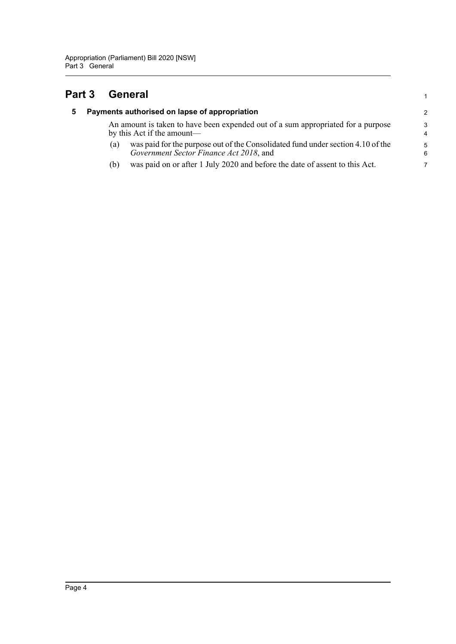### <span id="page-6-1"></span><span id="page-6-0"></span>**Part 3 General**

| 5. | Payments authorised on lapse of appropriation                                                                                     | $\mathcal{P}$    |  |
|----|-----------------------------------------------------------------------------------------------------------------------------------|------------------|--|
|    | An amount is taken to have been expended out of a sum appropriated for a purpose<br>by this Act if the amount—                    |                  |  |
|    | was paid for the purpose out of the Consolidated fund under section 4.10 of the<br>(a)<br>Government Sector Finance Act 2018, and | $5^{\circ}$<br>6 |  |
|    | was paid on or after 1 July 2020 and before the date of assent to this Act.<br>(b)                                                | 7                |  |

1